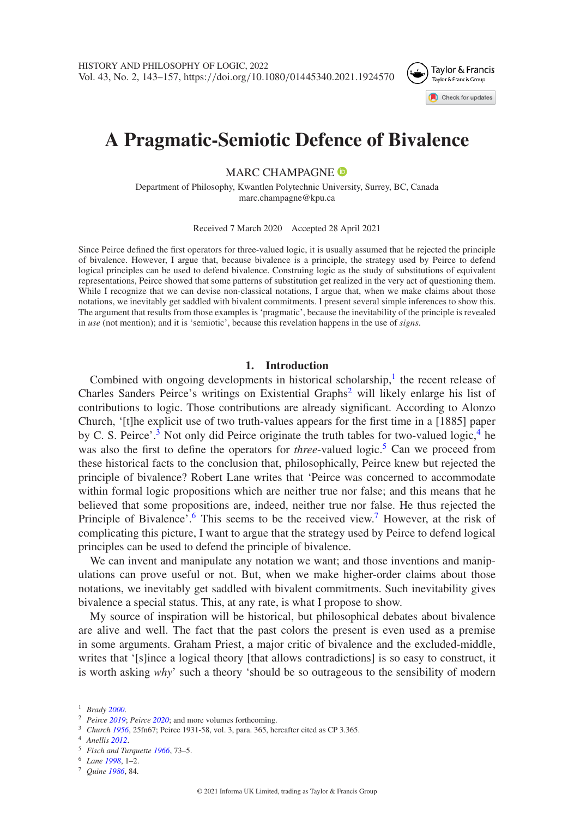

# **A Pragmatic-Semiotic Defence of Bivalence**

MARC CHAMPAGNE<sup>®</sup>

Department of Philosophy, Kwantlen Polytechnic University, Surrey, BC, Canada marc.champagne@kpu.ca

Received 7 March 2020 Accepted 28 April 2021

Since Peirce defined the first operators for three-valued logic, it is usually assumed that he rejected the principle of bivalence. However, I argue that, because bivalence is a principle, the strategy used by Peirce to defend logical principles can be used to defend bivalence. Construing logic as the study of substitutions of equivalent representations, Peirce showed that some patterns of substitution get realized in the very act of questioning them. While I recognize that we can devise non-classical notations, I argue that, when we make claims about those notations, we inevitably get saddled with bivalent commitments. I present several simple inferences to show this. The argument that results from those examples is 'pragmatic', because the inevitability of the principle is revealed in *use* (not mention); and it is 'semiotic', because this revelation happens in the use of *signs*.

#### **1. Introduction**

Combined with ongoing developments in historical scholarship, $<sup>1</sup>$  $<sup>1</sup>$  $<sup>1</sup>$  the recent release of</sup> Charles Sanders Peirce's writings on Existential Graphs<sup>[2](#page-0-1)</sup> will likely enlarge his list of contributions to logic. Those contributions are already significant. According to Alonzo Church, '[t]he explicit use of two truth-values appears for the first time in a [1885] paper by C. S. Peirce'.<sup>[3](#page-0-2)</sup> Not only did Peirce originate the truth tables for two-valued logic,  $4$  he was also the first to define the operators for *three*-valued logic.<sup>5</sup> Can we proceed from these historical facts to the conclusion that, philosophically, Peirce knew but rejected the principle of bivalence? Robert Lane writes that 'Peirce was concerned to accommodate within formal logic propositions which are neither true nor false; and this means that he believed that some propositions are, indeed, neither true nor false. He thus rejected the Principle of Bivalence'.<sup>6</sup> This seems to be the received view.<sup>[7](#page-0-6)</sup> However, at the risk of complicating this picture, I want to argue that the strategy used by Peirce to defend logical principles can be used to defend the principle of bivalence.

We can invent and manipulate any notation we want; and those inventions and manipulations can prove useful or not. But, when we make higher-order claims about those notations, we inevitably get saddled with bivalent commitments. Such inevitability gives bivalence a special status. This, at any rate, is what I propose to show.

My source of inspiration will be historical, but philosophical debates about bivalence are alive and well. The fact that the past colors the present is even used as a premise in some arguments. Graham Priest, a major critic of bivalence and the excluded-middle, writes that '[s]ince a logical theory [that allows contradictions] is so easy to construct, it is worth asking *why*' such a theory 'should be so outrageous to the sensibility of modern

<sup>1</sup> *Brady [2000](#page-13-0)*.

<span id="page-0-0"></span><sup>2</sup> *Peirce [2019](#page-14-0)*; *Peirce [2020](#page-14-1)*; and more volumes forthcoming.

<span id="page-0-1"></span><sup>3</sup> *Church [1956](#page-13-1)*, 25fn67; Peirce 1931-58, vol. 3, para. 365, hereafter cited as CP 3.365.

<span id="page-0-2"></span><sup>4</sup> *Anellis [2012](#page-13-2)*.

<span id="page-0-3"></span><sup>5</sup> *Fisch and Turquette [1966](#page-13-3)*, 73–5.

<span id="page-0-4"></span><sup>6</sup> *Lane [1998](#page-14-2)*, 1–2.

<span id="page-0-6"></span><span id="page-0-5"></span><sup>7</sup> *Quine [1986](#page-14-3)*, 84.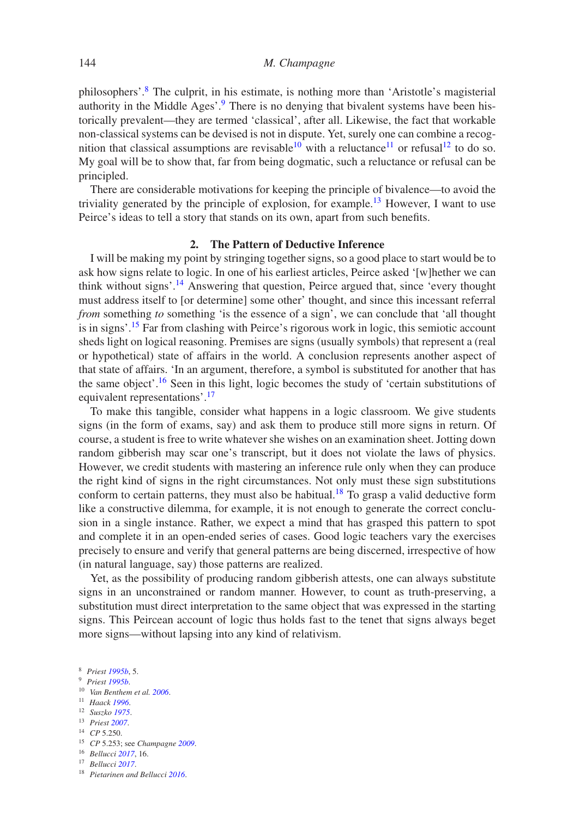philosophers'[.8](#page-1-0) The culprit, in his estimate, is nothing more than 'Aristotle's magisterial authority in the Middle Ages'.<sup>9</sup> There is no denying that bivalent systems have been historically prevalent—they are termed 'classical', after all. Likewise, the fact that workable non-classical systems can be devised is not in dispute. Yet, surely one can combine a recog-nition that classical assumptions are revisable<sup>10</sup> with a reluctance<sup>[11](#page-1-3)</sup> or refusal<sup>[12](#page-1-4)</sup> to do so. My goal will be to show that, far from being dogmatic, such a reluctance or refusal can be principled.

There are considerable motivations for keeping the principle of bivalence—to avoid the triviality generated by the principle of explosion, for example.<sup>13</sup> However, I want to use Peirce's ideas to tell a story that stands on its own, apart from such benefits.

#### **2. The Pattern of Deductive Inference**

I will be making my point by stringing together signs, so a good place to start would be to ask how signs relate to logic. In one of his earliest articles, Peirce asked '[w]hether we can think without signs'.<sup>14</sup> Answering that question, Peirce argued that, since 'every thought must address itself to [or determine] some other' thought, and since this incessant referral *from* something *to* something 'is the essence of a sign', we can conclude that 'all thought is in signs'[.15](#page-1-7) Far from clashing with Peirce's rigorous work in logic, this semiotic account sheds light on logical reasoning. Premises are signs (usually symbols) that represent a (real or hypothetical) state of affairs in the world. A conclusion represents another aspect of that state of affairs. 'In an argument, therefore, a symbol is substituted for another that has the same object'.<sup>[16](#page-1-8)</sup> Seen in this light, logic becomes the study of 'certain substitutions of equivalent representations'[.17](#page-1-9)

To make this tangible, consider what happens in a logic classroom. We give students signs (in the form of exams, say) and ask them to produce still more signs in return. Of course, a student is free to write whatever she wishes on an examination sheet. Jotting down random gibberish may scar one's transcript, but it does not violate the laws of physics. However, we credit students with mastering an inference rule only when they can produce the right kind of signs in the right circumstances. Not only must these sign substitutions conform to certain patterns, they must also be habitual.<sup>18</sup> To grasp a valid deductive form like a constructive dilemma, for example, it is not enough to generate the correct conclusion in a single instance. Rather, we expect a mind that has grasped this pattern to spot and complete it in an open-ended series of cases. Good logic teachers vary the exercises precisely to ensure and verify that general patterns are being discerned, irrespective of how (in natural language, say) those patterns are realized.

Yet, as the possibility of producing random gibberish attests, one can always substitute signs in an unconstrained or random manner. However, to count as truth-preserving, a substitution must direct interpretation to the same object that was expressed in the starting signs. This Peircean account of logic thus holds fast to the tenet that signs always beget more signs—without lapsing into any kind of relativism.

<span id="page-1-0"></span><sup>9</sup> *Priest [1995b](#page-14-4)*.

<span id="page-1-7"></span><sup>16</sup> *Bellucci [2017](#page-13-6)*, 16.

<sup>8</sup> *Priest [1995b](#page-14-4)*, 5.

<span id="page-1-1"></span><sup>10</sup> *Van Benthem et al. [2006](#page-14-5)*.

<span id="page-1-2"></span><sup>11</sup> *Haack [1996](#page-13-4)*.

<span id="page-1-3"></span><sup>12</sup> *Suszko [1975](#page-14-6)*.

<span id="page-1-4"></span><sup>13</sup> *Priest [2007](#page-14-7)*.

<span id="page-1-5"></span><sup>14</sup> *CP* 5.250.

<span id="page-1-6"></span><sup>15</sup> *CP* 5.253; see *Champagne [2009](#page-13-5)*.

<span id="page-1-8"></span><sup>17</sup> *Bellucci [2017](#page-13-6)*.

<span id="page-1-10"></span><span id="page-1-9"></span><sup>18</sup> *Pietarinen and Bellucci [2016](#page-14-8)*.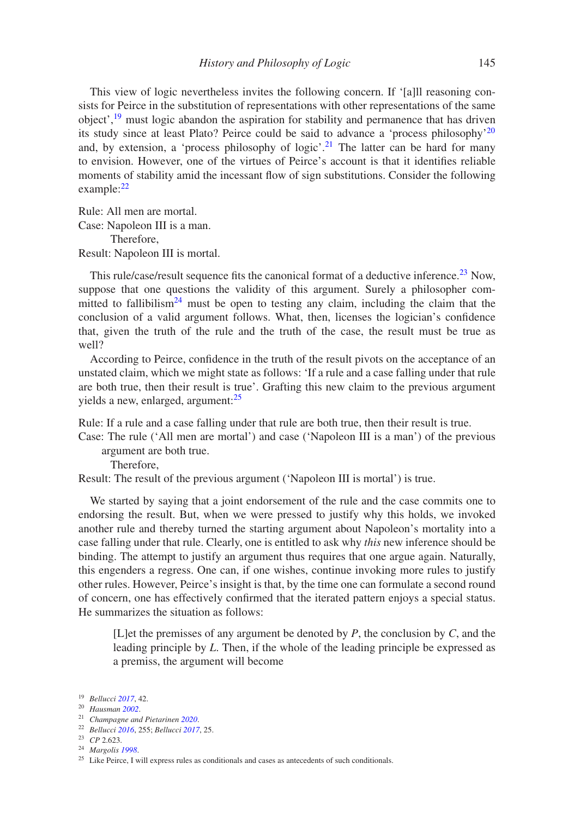This view of logic nevertheless invites the following concern. If '[a]ll reasoning consists for Peirce in the substitution of representations with other representations of the same object'[,19](#page-2-0) must logic abandon the aspiration for stability and permanence that has driven its study since at least Plato? Peirce could be said to advance a 'process philosophy'<sup>[20](#page-2-1)</sup> and, by extension, a 'process philosophy of logic'.<sup>[21](#page-2-2)</sup> The latter can be hard for many to envision. However, one of the virtues of Peirce's account is that it identifies reliable moments of stability amid the incessant flow of sign substitutions. Consider the following example:[22](#page-2-3)

Rule: All men are mortal. Case: Napoleon III is a man. Therefore, Result: Napoleon III is mortal.

This rule/case/result sequence fits the canonical format of a deductive inference.<sup>[23](#page-2-4)</sup> Now, suppose that one questions the validity of this argument. Surely a philosopher committed to fallibilism<sup>24</sup> must be open to testing any claim, including the claim that the conclusion of a valid argument follows. What, then, licenses the logician's confidence that, given the truth of the rule and the truth of the case, the result must be true as well?

According to Peirce, confidence in the truth of the result pivots on the acceptance of an unstated claim, which we might state as follows: 'If a rule and a case falling under that rule are both true, then their result is true'. Grafting this new claim to the previous argument yields a new, enlarged, argument: $25$ 

Rule: If a rule and a case falling under that rule are both true, then their result is true.

Case: The rule ('All men are mortal') and case ('Napoleon III is a man') of the previous argument are both true.

Therefore,

Result: The result of the previous argument ('Napoleon III is mortal') is true.

We started by saying that a joint endorsement of the rule and the case commits one to endorsing the result. But, when we were pressed to justify why this holds, we invoked another rule and thereby turned the starting argument about Napoleon's mortality into a case falling under that rule. Clearly, one is entitled to ask why *this* new inference should be binding. The attempt to justify an argument thus requires that one argue again. Naturally, this engenders a regress. One can, if one wishes, continue invoking more rules to justify other rules. However, Peirce's insight is that, by the time one can formulate a second round of concern, one has effectively confirmed that the iterated pattern enjoys a special status. He summarizes the situation as follows:

[L]et the premisses of any argument be denoted by *P*, the conclusion by *C*, and the leading principle by *L*. Then, if the whole of the leading principle be expressed as a premiss, the argument will become

<sup>19</sup> *Bellucci [2017](#page-13-6)*, 42.

<span id="page-2-0"></span><sup>20</sup> *Hausman [2002](#page-13-7)*.

<span id="page-2-1"></span><sup>21</sup> *Champagne and Pietarinen [2020](#page-13-8)*.

<span id="page-2-2"></span><sup>22</sup> *Bellucci [2016](#page-13-9)*, 255; *Bellucci [2017](#page-13-6)*, 25.

<span id="page-2-3"></span><sup>23</sup> *CP* 2.623.

<span id="page-2-4"></span><sup>24</sup> *Margolis [1998](#page-14-9)*.

<span id="page-2-6"></span><span id="page-2-5"></span><sup>&</sup>lt;sup>25</sup> Like Peirce, I will express rules as conditionals and cases as antecedents of such conditionals.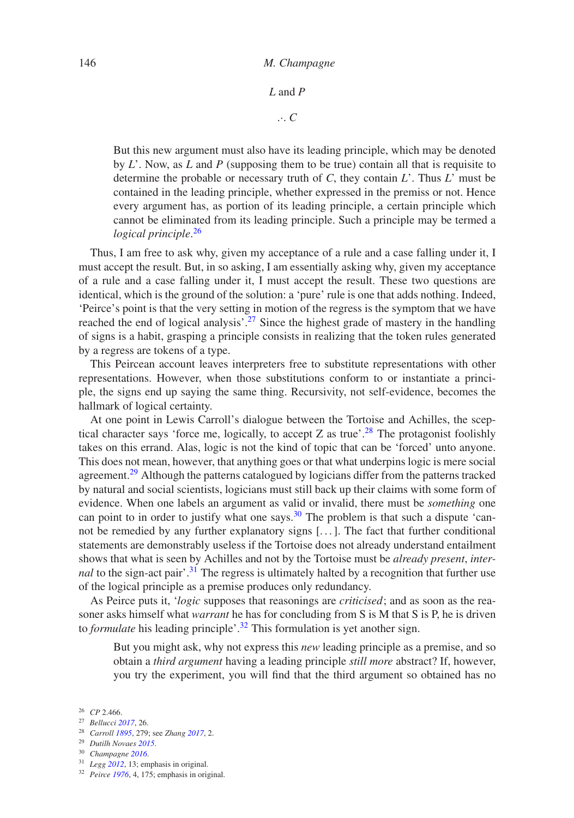#### 146 *M. Champagne*

*L* and *P*

.·. *C*

But this new argument must also have its leading principle, which may be denoted by *L*'. Now, as *L* and *P* (supposing them to be true) contain all that is requisite to determine the probable or necessary truth of *C*, they contain *L*'. Thus *L*' must be contained in the leading principle, whether expressed in the premiss or not. Hence every argument has, as portion of its leading principle, a certain principle which cannot be eliminated from its leading principle. Such a principle may be termed a *logical principle*. [26](#page-3-0)

Thus, I am free to ask why, given my acceptance of a rule and a case falling under it, I must accept the result. But, in so asking, I am essentially asking why, given my acceptance of a rule and a case falling under it, I must accept the result. These two questions are identical, which is the ground of the solution: a 'pure' rule is one that adds nothing. Indeed, 'Peirce's point is that the very setting in motion of the regress is the symptom that we have reached the end of logical analysis<sup>7.[27](#page-3-1)</sup> Since the highest grade of mastery in the handling of signs is a habit, grasping a principle consists in realizing that the token rules generated by a regress are tokens of a type.

This Peircean account leaves interpreters free to substitute representations with other representations. However, when those substitutions conform to or instantiate a principle, the signs end up saying the same thing. Recursivity, not self-evidence, becomes the hallmark of logical certainty.

At one point in Lewis Carroll's dialogue between the Tortoise and Achilles, the scep-tical character says 'force me, logically, to accept Z as true'.<sup>[28](#page-3-2)</sup> The protagonist foolishly takes on this errand. Alas, logic is not the kind of topic that can be 'forced' unto anyone. This does not mean, however, that anything goes or that what underpins logic is mere social agreement.<sup>29</sup> Although the patterns catalogued by logicians differ from the patterns tracked by natural and social scientists, logicians must still back up their claims with some form of evidence. When one labels an argument as valid or invalid, there must be *something* one can point to in order to justify what one says.<sup>[30](#page-3-4)</sup> The problem is that such a dispute 'cannot be remedied by any further explanatory signs [. . . ]. The fact that further conditional statements are demonstrably useless if the Tortoise does not already understand entailment shows that what is seen by Achilles and not by the Tortoise must be *already present*, *internal* to the sign-act pair<sup>[31](#page-3-5)</sup>. The regress is ultimately halted by a recognition that further use of the logical principle as a premise produces only redundancy.

As Peirce puts it, '*logic* supposes that reasonings are *criticised*; and as soon as the reasoner asks himself what *warrant* he has for concluding from S is M that S is P, he is driven to *formulate* his leading principle<sup>'</sup>.<sup>[32](#page-3-6)</sup> This formulation is yet another sign.

But you might ask, why not express this *new* leading principle as a premise, and so obtain a *third argument* having a leading principle *still more* abstract? If, however, you try the experiment, you will find that the third argument so obtained has no

<sup>26</sup> *CP* 2.466.

<span id="page-3-0"></span><sup>27</sup> *Bellucci [2017](#page-13-6)*, 26.

<span id="page-3-1"></span><sup>28</sup> *Carroll [1895](#page-13-10)*, 279; see *Zhang [2017](#page-14-10)*, 2.

<span id="page-3-2"></span><sup>29</sup> *Dutilh Novaes [2015](#page-13-11)*.

<span id="page-3-3"></span><sup>30</sup> *Champagne [2016](#page-13-12)*.

<span id="page-3-4"></span><sup>31</sup> *Legg [2012](#page-14-11)*, 13; emphasis in original.

<span id="page-3-6"></span><span id="page-3-5"></span><sup>32</sup> *Peirce [1976](#page-14-12)*, 4, 175; emphasis in original.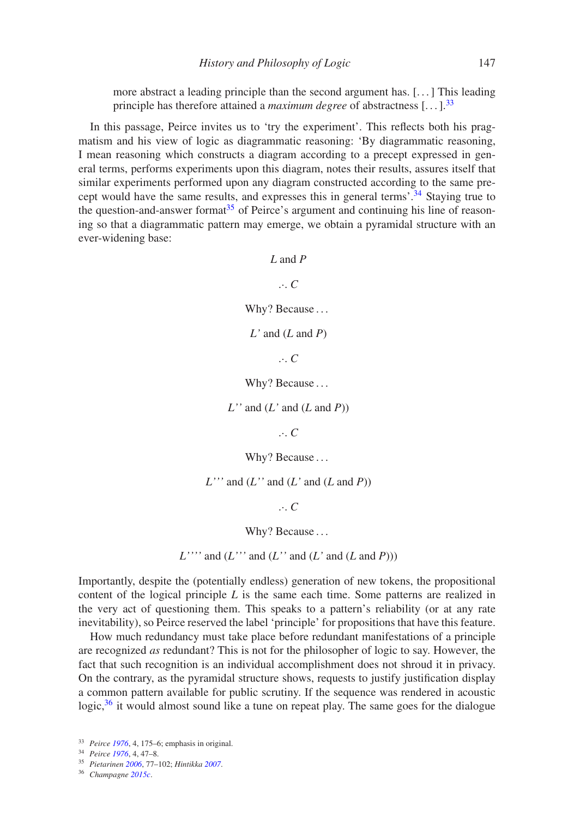more abstract a leading principle than the second argument has. [. . . ] This leading principle has therefore attained a *maximum degree* of abstractness  $[\dots]$ <sup>33</sup>

In this passage, Peirce invites us to 'try the experiment'. This reflects both his pragmatism and his view of logic as diagrammatic reasoning: 'By diagrammatic reasoning, I mean reasoning which constructs a diagram according to a precept expressed in general terms, performs experiments upon this diagram, notes their results, assures itself that similar experiments performed upon any diagram constructed according to the same pre-cept would have the same results, and expresses this in general terms'.<sup>[34](#page-4-1)</sup> Staying true to the question-and-answer format<sup>[35](#page-4-2)</sup> of Peirce's argument and continuing his line of reasoning so that a diagrammatic pattern may emerge, we obtain a pyramidal structure with an ever-widening base:

# *L* and *P*

.·. *C*

Why? Because ...

*L'* and (*L* and *P*)

.·. *C*

Why? Because ...

*L''* and (*L'* and (*L* and *P*))

.·. *C*

Why? Because ...

 $L'$ <sup>\*\*</sup> and  $(L'$ <sup>\*</sup> and  $(L'$ <sup>and</sup>  $(L'$ <sup> $(n))$ </sup>

.·. *C*

Why? Because ...

 $L'''''$  and  $(L'''$  and  $(L'$  and  $(L'$  and  $(L \text{ and } P)))$ 

Importantly, despite the (potentially endless) generation of new tokens, the propositional content of the logical principle *L* is the same each time. Some patterns are realized in the very act of questioning them. This speaks to a pattern's reliability (or at any rate inevitability), so Peirce reserved the label 'principle' for propositions that have this feature.

How much redundancy must take place before redundant manifestations of a principle are recognized *as* redundant? This is not for the philosopher of logic to say. However, the fact that such recognition is an individual accomplishment does not shroud it in privacy. On the contrary, as the pyramidal structure shows, requests to justify justification display a common pattern available for public scrutiny. If the sequence was rendered in acoustic logic, $36$  it would almost sound like a tune on repeat play. The same goes for the dialogue

<span id="page-4-3"></span><span id="page-4-2"></span><sup>36</sup> *Champagne [2015c](#page-13-14)*.

<sup>33</sup> *Peirce [1976](#page-14-12)*, 4, 175–6; emphasis in original.

<span id="page-4-0"></span><sup>34</sup> *Peirce [1976](#page-14-12)*, 4, 47–8.

<span id="page-4-1"></span><sup>35</sup> *Pietarinen [2006](#page-14-13)*, 77–102; *Hintikka [2007](#page-13-13)*.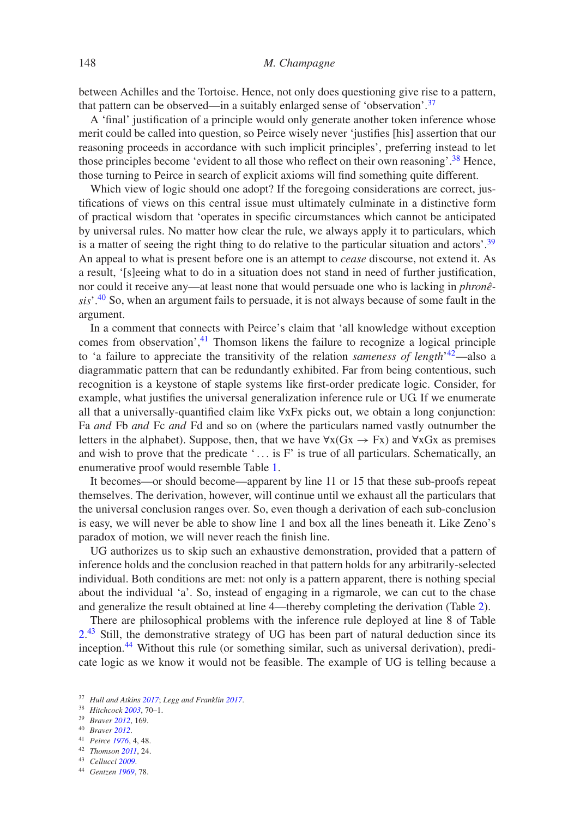between Achilles and the Tortoise. Hence, not only does questioning give rise to a pattern, that pattern can be observed—in a suitably enlarged sense of 'observation'.<sup>[37](#page-5-0)</sup>

A 'final' justification of a principle would only generate another token inference whose merit could be called into question, so Peirce wisely never 'justifies [his] assertion that our reasoning proceeds in accordance with such implicit principles', preferring instead to let those principles become 'evident to all those who reflect on their own reasoning'.<sup>[38](#page-5-1)</sup> Hence, those turning to Peirce in search of explicit axioms will find something quite different.

Which view of logic should one adopt? If the foregoing considerations are correct, justifications of views on this central issue must ultimately culminate in a distinctive form of practical wisdom that 'operates in specific circumstances which cannot be anticipated by universal rules. No matter how clear the rule, we always apply it to particulars, which is a matter of seeing the right thing to do relative to the particular situation and actors'.<sup>[39](#page-5-2)</sup> An appeal to what is present before one is an attempt to *cease* discourse, not extend it. As a result, '[s]eeing what to do in a situation does not stand in need of further justification, nor could it receive any—at least none that would persuade one who is lacking in *phronêsis*'.[40](#page-5-3) So, when an argument fails to persuade, it is not always because of some fault in the argument.

In a comment that connects with Peirce's claim that 'all knowledge without exception comes from observation', $41$  Thomson likens the failure to recognize a logical principle to 'a failure to appreciate the transitivity of the relation *sameness of length*' [42—](#page-5-5)also a diagrammatic pattern that can be redundantly exhibited. Far from being contentious, such recognition is a keystone of staple systems like first-order predicate logic. Consider, for example, what justifies the universal generalization inference rule or UG. If we enumerate all that a universally-quantified claim like ∀xFx picks out, we obtain a long conjunction: Fa *and* Fb *and* Fc *and* Fd and so on (where the particulars named vastly outnumber the letters in the alphabet). Suppose, then, that we have  $\forall x(Gx \rightarrow Fx)$  and  $\forall xGx$  as premises and wish to prove that the predicate  $\cdot \dots$  is F' is true of all particulars. Schematically, an enumerative proof would resemble Table [1.](#page-6-0)

It becomes—or should become—apparent by line 11 or 15 that these sub-proofs repeat themselves. The derivation, however, will continue until we exhaust all the particulars that the universal conclusion ranges over. So, even though a derivation of each sub-conclusion is easy, we will never be able to show line 1 and box all the lines beneath it. Like Zeno's paradox of motion, we will never reach the finish line.

UG authorizes us to skip such an exhaustive demonstration, provided that a pattern of inference holds and the conclusion reached in that pattern holds for any arbitrarily-selected individual. Both conditions are met: not only is a pattern apparent, there is nothing special about the individual 'a'. So, instead of engaging in a rigmarole, we can cut to the chase and generalize the result obtained at line 4—thereby completing the derivation (Table [2\)](#page-6-1).

There are philosophical problems with the inference rule deployed at line 8 of Table  $2<sup>43</sup>$  $2<sup>43</sup>$  $2<sup>43</sup>$  Still, the demonstrative strategy of UG has been part of natural deduction since its inception.<sup>[44](#page-5-7)</sup> Without this rule (or something similar, such as universal derivation), predicate logic as we know it would not be feasible. The example of UG is telling because a

- <span id="page-5-3"></span><sup>41</sup> *Peirce [1976](#page-14-12)*, 4, 48.
- <span id="page-5-4"></span><sup>42</sup> *Thomson [2011](#page-14-17)*, 24.
- <span id="page-5-5"></span><sup>43</sup> *Cellucci [2009](#page-13-16)*.

<sup>37</sup> *Hull and Atkins [2017](#page-14-14)*; *Legg and Franklin [2017](#page-14-15)*.

<span id="page-5-0"></span><sup>38</sup> *Hitchcock [2003](#page-14-16)*, 70–1.

<span id="page-5-1"></span><sup>39</sup> *Braver [2012](#page-13-15)*, 169.

<span id="page-5-2"></span><sup>40</sup> *Braver [2012](#page-13-15)*.

<span id="page-5-7"></span><span id="page-5-6"></span><sup>44</sup> *Gentzen [1969](#page-13-17)*, 78.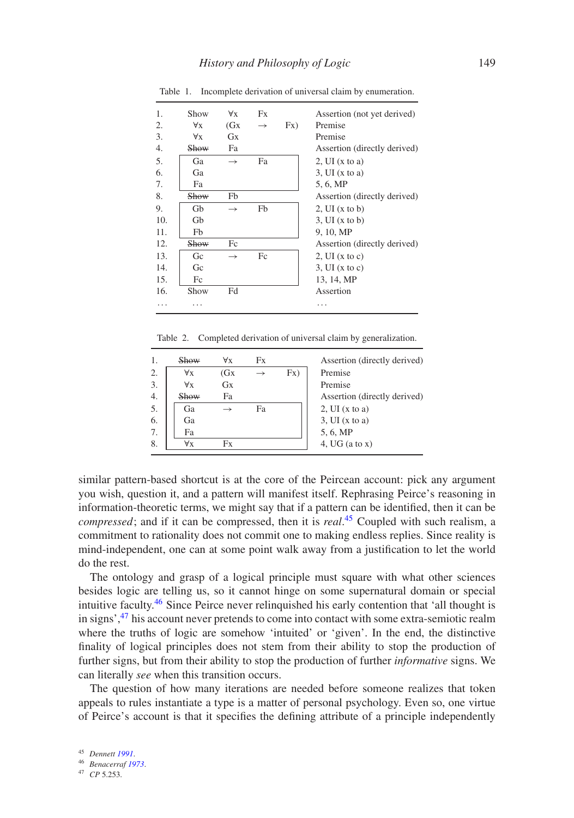| 1.  | Show        | $\forall x$   | Fx            |     | Assertion (not yet derived)  |
|-----|-------------|---------------|---------------|-----|------------------------------|
| 2.  | $\forall x$ | (GX)          | $\rightarrow$ | Fx) | Premise                      |
| 3.  | $\forall x$ | Gx            |               |     | Premise                      |
| 4.  | Show        | Fa            |               |     | Assertion (directly derived) |
| 5.  | Ga          | $\rightarrow$ | Fa            |     | 2, UI(x to a)                |
| 6.  | Ga          |               |               |     | $3$ , UI (x to a)            |
| 7.  | Fa          |               |               |     | 5, 6, MP                     |
| 8.  | Show        | Fb            |               |     | Assertion (directly derived) |
| 9.  | Gh          | $\rightarrow$ | Fb            |     | 2, UI(x to b)                |
| 10. | Gb          |               |               |     | 3, UI(x to b)                |
| 11. | Fb          |               |               |     | 9, 10, MP                    |
| 12. | <b>Show</b> | Fc            |               |     | Assertion (directly derived) |
| 13. | Gc          | $\rightarrow$ | Fc            |     | 2, UI(x to c)                |
| 14. | Gc          |               |               |     | 3, UI(x to c)                |
| 15. | Fc          |               |               |     | 13, 14, MP                   |
| 16. | Show        | Fd            |               |     | Assertion                    |
|     |             |               |               |     | .                            |
|     |             |               |               |     |                              |

<span id="page-6-0"></span>Table 1. Incomplete derivation of universal claim by enumeration.

<span id="page-6-1"></span>Table 2. Completed derivation of universal claim by generalization.

|                  | Show        | $\forall x$ | Fx |     | Assertion (directly derived) |
|------------------|-------------|-------------|----|-----|------------------------------|
| 2.               | $\forall x$ | (GX)        |    | Fx) | Premise                      |
| 3.               | $\forall x$ | <b>Gx</b>   |    |     | Premise                      |
| $\overline{4}$ . | Show        | Fa          |    |     | Assertion (directly derived) |
| 5.               | Ga          |             | Fa |     | 2, UI $(x \text{ to } a)$    |
| 6.               | Ga          |             |    |     | 3. UI(x to a)                |
| 7.               | Fa          |             |    |     | 5, 6, MP                     |
| 8.               | ∀x          | Fx          |    |     | 4, UG $(a \text{ to } x)$    |
|                  |             |             |    |     |                              |

similar pattern-based shortcut is at the core of the Peircean account: pick any argument you wish, question it, and a pattern will manifest itself. Rephrasing Peirce's reasoning in information-theoretic terms, we might say that if a pattern can be identified, then it can be *compressed*; and if it can be compressed, then it is *real*. [45](#page-6-2) Coupled with such realism, a commitment to rationality does not commit one to making endless replies. Since reality is mind-independent, one can at some point walk away from a justification to let the world do the rest.

The ontology and grasp of a logical principle must square with what other sciences besides logic are telling us, so it cannot hinge on some supernatural domain or special intuitive faculty.[46](#page-6-3) Since Peirce never relinquished his early contention that 'all thought is in signs',<sup>[47](#page-6-4)</sup> his account never pretends to come into contact with some extra-semiotic realm where the truths of logic are somehow 'intuited' or 'given'. In the end, the distinctive finality of logical principles does not stem from their ability to stop the production of further signs, but from their ability to stop the production of further *informative* signs. We can literally *see* when this transition occurs.

The question of how many iterations are needed before someone realizes that token appeals to rules instantiate a type is a matter of personal psychology. Even so, one virtue of Peirce's account is that it specifies the defining attribute of a principle independently

<sup>45</sup> *Dennett [1991](#page-13-18)*.

<span id="page-6-2"></span><sup>46</sup> *Benacerraf [1973](#page-13-19)*.

<span id="page-6-4"></span><span id="page-6-3"></span><sup>47</sup> *CP* 5.253.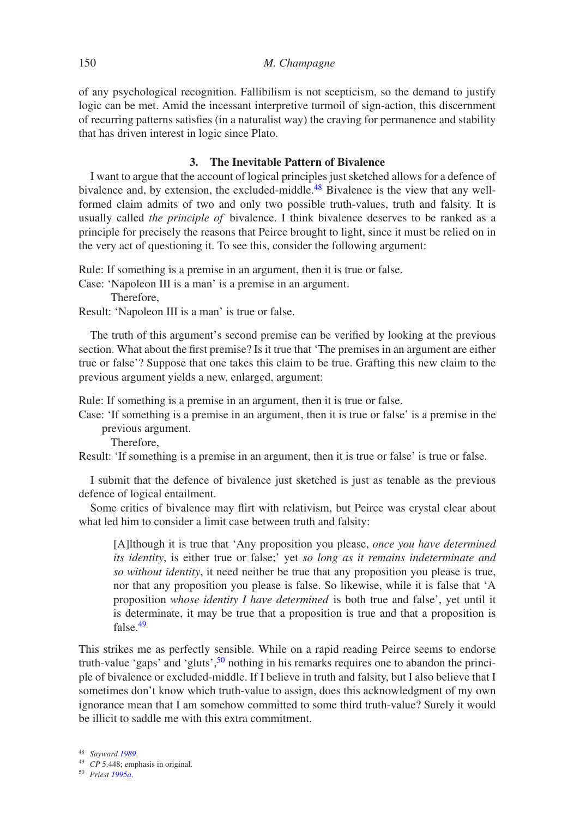of any psychological recognition. Fallibilism is not scepticism, so the demand to justify logic can be met. Amid the incessant interpretive turmoil of sign-action, this discernment of recurring patterns satisfies (in a naturalist way) the craving for permanence and stability that has driven interest in logic since Plato.

## **3. The Inevitable Pattern of Bivalence**

I want to argue that the account of logical principles just sketched allows for a defence of bivalence and, by extension, the excluded-middle.<sup>48</sup> Bivalence is the view that any wellformed claim admits of two and only two possible truth-values, truth and falsity. It is usually called *the principle of* bivalence. I think bivalence deserves to be ranked as a principle for precisely the reasons that Peirce brought to light, since it must be relied on in the very act of questioning it. To see this, consider the following argument:

Rule: If something is a premise in an argument, then it is true or false.

Case: 'Napoleon III is a man' is a premise in an argument.

Therefore,

Result: 'Napoleon III is a man' is true or false.

The truth of this argument's second premise can be verified by looking at the previous section. What about the first premise? Is it true that 'The premises in an argument are either true or false'? Suppose that one takes this claim to be true. Grafting this new claim to the previous argument yields a new, enlarged, argument:

Rule: If something is a premise in an argument, then it is true or false.

Case: 'If something is a premise in an argument, then it is true or false' is a premise in the previous argument.

Therefore,

Result: 'If something is a premise in an argument, then it is true or false' is true or false.

I submit that the defence of bivalence just sketched is just as tenable as the previous defence of logical entailment.

Some critics of bivalence may flirt with relativism, but Peirce was crystal clear about what led him to consider a limit case between truth and falsity:

[A]lthough it is true that 'Any proposition you please, *once you have determined its identity*, is either true or false;' yet *so long as it remains indeterminate and so without identity*, it need neither be true that any proposition you please is true, nor that any proposition you please is false. So likewise, while it is false that 'A proposition *whose identity I have determined* is both true and false', yet until it is determinate, it may be true that a proposition is true and that a proposition is false.[49](#page-7-1)

This strikes me as perfectly sensible. While on a rapid reading Peirce seems to endorse truth-value 'gaps' and 'gluts',[50](#page-7-2) nothing in his remarks requires one to abandon the principle of bivalence or excluded-middle. If I believe in truth and falsity, but I also believe that I sometimes don't know which truth-value to assign, does this acknowledgment of my own ignorance mean that I am somehow committed to some third truth-value? Surely it would be illicit to saddle me with this extra commitment.

<sup>48</sup> *Sayward [1989](#page-14-18)*.

<span id="page-7-0"></span><sup>49</sup> *CP* 5.448; emphasis in original.

<span id="page-7-2"></span><span id="page-7-1"></span><sup>50</sup> *Priest [1995a](#page-14-19)*.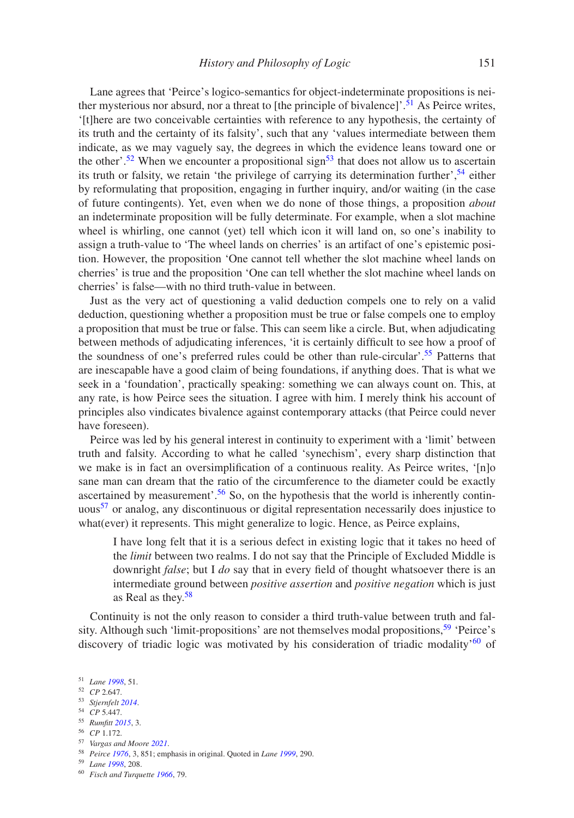Lane agrees that 'Peirce's logico-semantics for object-indeterminate propositions is nei-ther mysterious nor absurd, nor a threat to [the principle of bivalence]'.<sup>[51](#page-8-0)</sup> As Peirce writes, '[t]here are two conceivable certainties with reference to any hypothesis, the certainty of its truth and the certainty of its falsity', such that any 'values intermediate between them indicate, as we may vaguely say, the degrees in which the evidence leans toward one or the other'.<sup>52</sup> When we encounter a propositional sign<sup>53</sup> that does not allow us to ascertain its truth or falsity, we retain 'the privilege of carrying its determination further',  $54$  either by reformulating that proposition, engaging in further inquiry, and/or waiting (in the case of future contingents). Yet, even when we do none of those things, a proposition *about* an indeterminate proposition will be fully determinate. For example, when a slot machine wheel is whirling, one cannot (yet) tell which icon it will land on, so one's inability to assign a truth-value to 'The wheel lands on cherries' is an artifact of one's epistemic position. However, the proposition 'One cannot tell whether the slot machine wheel lands on cherries' is true and the proposition 'One can tell whether the slot machine wheel lands on cherries' is false—with no third truth-value in between.

Just as the very act of questioning a valid deduction compels one to rely on a valid deduction, questioning whether a proposition must be true or false compels one to employ a proposition that must be true or false. This can seem like a circle. But, when adjudicating between methods of adjudicating inferences, 'it is certainly difficult to see how a proof of the soundness of one's preferred rules could be other than rule-circular'.<sup>55</sup> Patterns that are inescapable have a good claim of being foundations, if anything does. That is what we seek in a 'foundation', practically speaking: something we can always count on. This, at any rate, is how Peirce sees the situation. I agree with him. I merely think his account of principles also vindicates bivalence against contemporary attacks (that Peirce could never have foreseen).

Peirce was led by his general interest in continuity to experiment with a 'limit' between truth and falsity. According to what he called 'synechism', every sharp distinction that we make is in fact an oversimplification of a continuous reality. As Peirce writes, '[n]o sane man can dream that the ratio of the circumference to the diameter could be exactly ascertained by measurement'.<sup>56</sup> So, on the hypothesis that the world is inherently contin-uous<sup>[57](#page-8-6)</sup> or analog, any discontinuous or digital representation necessarily does injustice to what(ever) it represents. This might generalize to logic. Hence, as Peirce explains,

I have long felt that it is a serious defect in existing logic that it takes no heed of the *limit* between two realms. I do not say that the Principle of Excluded Middle is downright *false*; but I *do* say that in every field of thought whatsoever there is an intermediate ground between *positive assertion* and *positive negation* which is just as Real as they[.58](#page-8-7)

Continuity is not the only reason to consider a third truth-value between truth and falsity. Although such 'limit-propositions' are not themselves modal propositions,  $59$  'Peirce's discovery of triadic logic was motivated by his consideration of triadic modality'<sup>60</sup> of

<span id="page-8-4"></span><sup>56</sup> *CP* 1.172.

<span id="page-8-7"></span><sup>59</sup> *Lane [1998](#page-14-2)*, 208.

<sup>51</sup> *Lane [1998](#page-14-2)*, 51.

<span id="page-8-0"></span><sup>52</sup> *CP* 2.647.

<span id="page-8-1"></span><sup>53</sup> *Stjernfelt [2014](#page-14-20)*.

<span id="page-8-2"></span><sup>54</sup> *CP* 5.447.

<span id="page-8-3"></span><sup>55</sup> *Rumfitt [2015](#page-14-21)*, 3.

<span id="page-8-5"></span><sup>57</sup> *Vargas and Moore [2021](#page-14-22)*.

<span id="page-8-6"></span><sup>58</sup> *Peirce [1976](#page-14-12)*, 3, 851; emphasis in original. Quoted in *Lane [1999](#page-14-23)*, 290.

<span id="page-8-9"></span><span id="page-8-8"></span><sup>60</sup> *Fisch and Turquette [1966](#page-13-3)*, 79.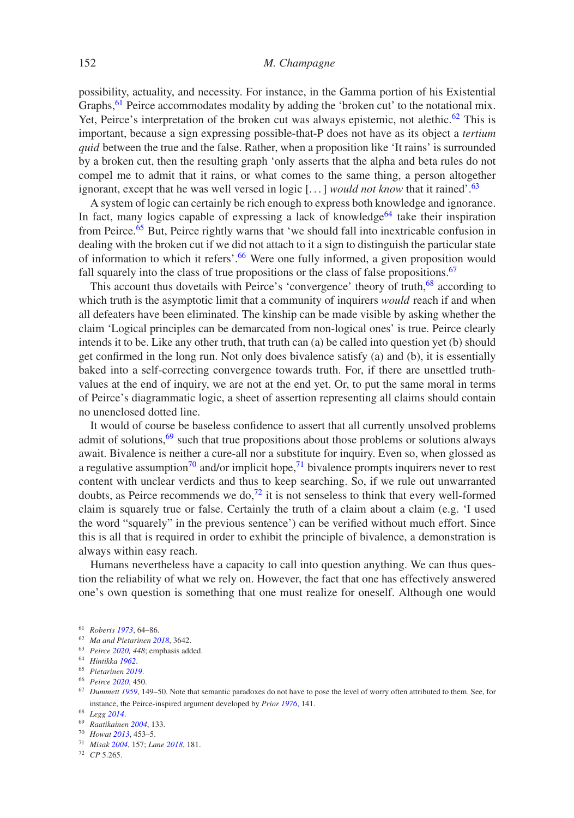## 152 *M. Champagne*

possibility, actuality, and necessity. For instance, in the Gamma portion of his Existential Graphs,  $^{61}$  $^{61}$  $^{61}$  Peirce accommodates modality by adding the 'broken cut' to the notational mix. Yet, Peirce's interpretation of the broken cut was always epistemic, not alethic.<sup>[62](#page-9-1)</sup> This is important, because a sign expressing possible-that-P does not have as its object a *tertium quid* between the true and the false. Rather, when a proposition like 'It rains' is surrounded by a broken cut, then the resulting graph 'only asserts that the alpha and beta rules do not compel me to admit that it rains, or what comes to the same thing, a person altogether ignorant, except that he was well versed in logic [...] *would not know* that it rained'[.63](#page-9-2)

A system of logic can certainly be rich enough to express both knowledge and ignorance. In fact, many logics capable of expressing a lack of knowledge<sup>64</sup> take their inspiration from Peirce.<sup>[65](#page-9-4)</sup> But, Peirce rightly warns that 'we should fall into inextricable confusion in dealing with the broken cut if we did not attach to it a sign to distinguish the particular state of information to which it refers'.<sup>66</sup> Were one fully informed, a given proposition would fall squarely into the class of true propositions or the class of false propositions.<sup>[67](#page-9-6)</sup>

This account thus dovetails with Peirce's 'convergence' theory of truth,<sup>68</sup> according to which truth is the asymptotic limit that a community of inquirers *would* reach if and when all defeaters have been eliminated. The kinship can be made visible by asking whether the claim 'Logical principles can be demarcated from non-logical ones' is true. Peirce clearly intends it to be. Like any other truth, that truth can (a) be called into question yet (b) should get confirmed in the long run. Not only does bivalence satisfy (a) and (b), it is essentially baked into a self-correcting convergence towards truth. For, if there are unsettled truthvalues at the end of inquiry, we are not at the end yet. Or, to put the same moral in terms of Peirce's diagrammatic logic, a sheet of assertion representing all claims should contain no unenclosed dotted line.

It would of course be baseless confidence to assert that all currently unsolved problems admit of solutions, $69$  such that true propositions about those problems or solutions always await. Bivalence is neither a cure-all nor a substitute for inquiry. Even so, when glossed as a regulative assumption<sup>70</sup> and/or implicit hope,<sup>[71](#page-9-10)</sup> bivalence prompts inquirers never to rest content with unclear verdicts and thus to keep searching. So, if we rule out unwarranted doubts, as Peirce recommends we do,<sup>72</sup> it is not senseless to think that every well-formed claim is squarely true or false. Certainly the truth of a claim about a claim (e.g. 'I used the word "squarely" in the previous sentence') can be verified without much effort. Since this is all that is required in order to exhibit the principle of bivalence, a demonstration is always within easy reach.

Humans nevertheless have a capacity to call into question anything. We can thus question the reliability of what we rely on. However, the fact that one has effectively answered one's own question is something that one must realize for oneself. Although one would

<sup>61</sup> *Roberts [1973](#page-14-24)*, 64–86.

<span id="page-9-0"></span><sup>62</sup> *Ma and Pietarinen [2018](#page-14-25)*, 3642.

<span id="page-9-1"></span><sup>63</sup> *Peirce [2020,](#page-14-1) 448*; emphasis added.

<span id="page-9-2"></span><sup>64</sup> *Hintikka [1962](#page-13-20)*.

<span id="page-9-3"></span><sup>65</sup> *Pietarinen [2019](#page-14-26)*.

<span id="page-9-4"></span><sup>66</sup> *Peirce [2020](#page-14-1)*, 450.

<span id="page-9-5"></span><sup>67</sup> *Dummett [1959](#page-13-21)*, 149–50. Note that semantic paradoxes do not have to pose the level of worry often attributed to them. See, for instance, the Peirce-inspired argument developed by *Prior [1976](#page-14-27)*, 141.

<span id="page-9-6"></span><sup>68</sup> *Legg [2014](#page-14-28)*.

<span id="page-9-7"></span><sup>69</sup> *Raatikainen [2004](#page-14-29)*, 133.

<span id="page-9-8"></span><sup>70</sup> *Howat [2013](#page-14-30)*, 453–5.

<span id="page-9-9"></span><sup>71</sup> *Misak [2004](#page-14-31)*, 157; *Lane [2018](#page-14-32)*, 181.

<span id="page-9-11"></span><span id="page-9-10"></span><sup>72</sup> *CP* 5.265.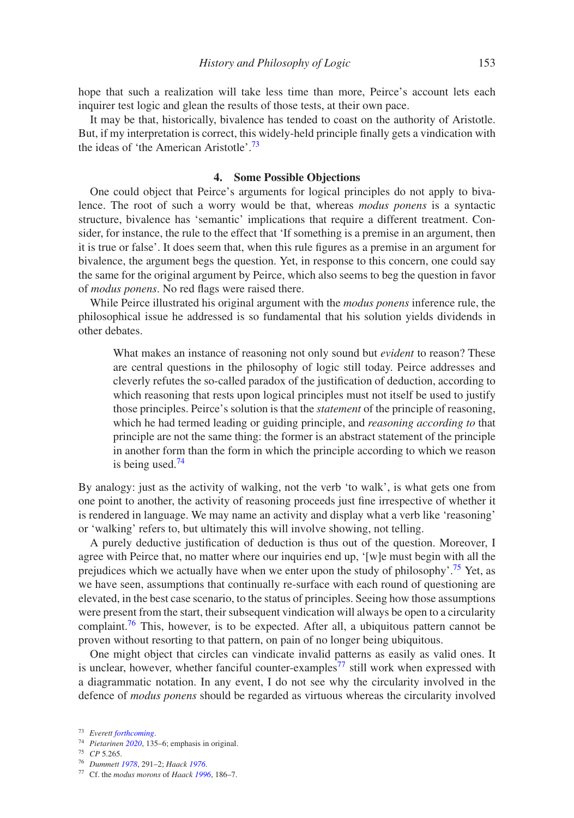hope that such a realization will take less time than more, Peirce's account lets each inquirer test logic and glean the results of those tests, at their own pace.

It may be that, historically, bivalence has tended to coast on the authority of Aristotle. But, if my interpretation is correct, this widely-held principle finally gets a vindication with the ideas of 'the American Aristotle'.<sup>[73](#page-10-0)</sup>

## **4. Some Possible Objections**

One could object that Peirce's arguments for logical principles do not apply to bivalence. The root of such a worry would be that, whereas *modus ponens* is a syntactic structure, bivalence has 'semantic' implications that require a different treatment. Consider, for instance, the rule to the effect that 'If something is a premise in an argument, then it is true or false'. It does seem that, when this rule figures as a premise in an argument for bivalence, the argument begs the question. Yet, in response to this concern, one could say the same for the original argument by Peirce, which also seems to beg the question in favor of *modus ponens*. No red flags were raised there.

While Peirce illustrated his original argument with the *modus ponens* inference rule, the philosophical issue he addressed is so fundamental that his solution yields dividends in other debates.

What makes an instance of reasoning not only sound but *evident* to reason? These are central questions in the philosophy of logic still today. Peirce addresses and cleverly refutes the so-called paradox of the justification of deduction, according to which reasoning that rests upon logical principles must not itself be used to justify those principles. Peirce's solution is that the *statement* of the principle of reasoning, which he had termed leading or guiding principle, and *reasoning according to* that principle are not the same thing: the former is an abstract statement of the principle in another form than the form in which the principle according to which we reason is being used. $74$ 

By analogy: just as the activity of walking, not the verb 'to walk', is what gets one from one point to another, the activity of reasoning proceeds just fine irrespective of whether it is rendered in language. We may name an activity and display what a verb like 'reasoning' or 'walking' refers to, but ultimately this will involve showing, not telling.

A purely deductive justification of deduction is thus out of the question. Moreover, I agree with Peirce that, no matter where our inquiries end up, '[w]e must begin with all the prejudices which we actually have when we enter upon the study of philosophy'.<sup>75</sup> Yet, as we have seen, assumptions that continually re-surface with each round of questioning are elevated, in the best case scenario, to the status of principles. Seeing how those assumptions were present from the start, their subsequent vindication will always be open to a circularity complaint.<sup>[76](#page-10-3)</sup> This, however, is to be expected. After all, a ubiquitous pattern cannot be proven without resorting to that pattern, on pain of no longer being ubiquitous.

One might object that circles can vindicate invalid patterns as easily as valid ones. It is unclear, however, whether fanciful counter-examples<sup>[77](#page-10-4)</sup> still work when expressed with a diagrammatic notation. In any event, I do not see why the circularity involved in the defence of *modus ponens* should be regarded as virtuous whereas the circularity involved

<sup>73</sup> *Everett [forthcoming](#page-13-22)*.

<span id="page-10-0"></span><sup>74</sup> *Pietarinen [2020](#page-14-33)*, 135–6; emphasis in original.

<span id="page-10-1"></span><sup>75</sup> *CP* 5.265.

<span id="page-10-2"></span><sup>76</sup> *Dummett [1978](#page-13-23)*, 291–2; *Haack [1976](#page-13-24)*.

<span id="page-10-4"></span><span id="page-10-3"></span><sup>77</sup> Cf. the *modus morons* of *Haack [1996](#page-13-4)*, 186–7.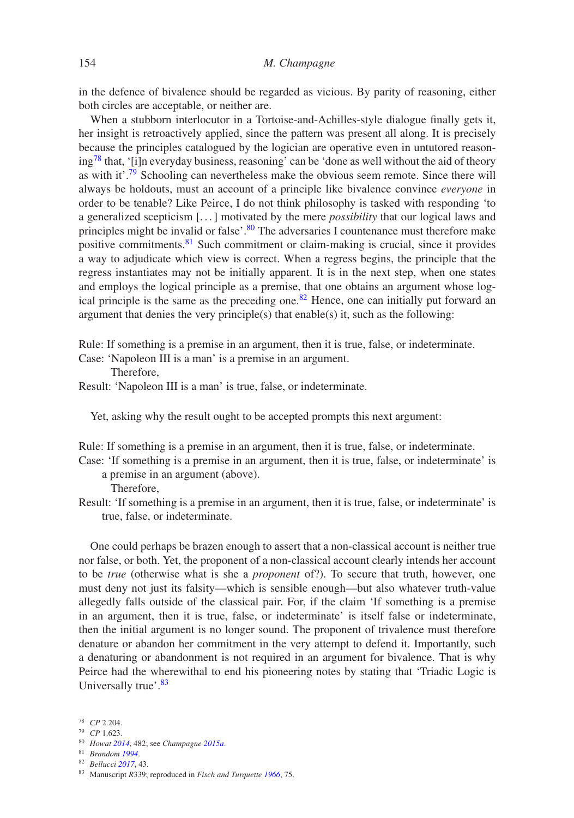in the defence of bivalence should be regarded as vicious. By parity of reasoning, either both circles are acceptable, or neither are.

When a stubborn interlocutor in a Tortoise-and-Achilles-style dialogue finally gets it, her insight is retroactively applied, since the pattern was present all along. It is precisely because the principles catalogued by the logician are operative even in untutored reason $ing^{78}$  that, '[i]n everyday business, reasoning' can be 'done as well without the aid of theory as with it'.[79](#page-11-1) Schooling can nevertheless make the obvious seem remote. Since there will always be holdouts, must an account of a principle like bivalence convince *everyone* in order to be tenable? Like Peirce, I do not think philosophy is tasked with responding 'to a generalized scepticism [. . . ] motivated by the mere *possibility* that our logical laws and principles might be invalid or false'.<sup>80</sup> The adversaries I countenance must therefore make positive commitments.<sup>[81](#page-11-3)</sup> Such commitment or claim-making is crucial, since it provides a way to adjudicate which view is correct. When a regress begins, the principle that the regress instantiates may not be initially apparent. It is in the next step, when one states and employs the logical principle as a premise, that one obtains an argument whose logical principle is the same as the preceding one.[82](#page-11-4) Hence, one can initially put forward an argument that denies the very principle(s) that enable(s) it, such as the following:

Rule: If something is a premise in an argument, then it is true, false, or indeterminate.

Case: 'Napoleon III is a man' is a premise in an argument.

Therefore,

Result: 'Napoleon III is a man' is true, false, or indeterminate.

Yet, asking why the result ought to be accepted prompts this next argument:

Rule: If something is a premise in an argument, then it is true, false, or indeterminate.

Case: 'If something is a premise in an argument, then it is true, false, or indeterminate' is a premise in an argument (above).

Therefore,

Result: 'If something is a premise in an argument, then it is true, false, or indeterminate' is true, false, or indeterminate.

One could perhaps be brazen enough to assert that a non-classical account is neither true nor false, or both. Yet, the proponent of a non-classical account clearly intends her account to be *true* (otherwise what is she a *proponent* of?). To secure that truth, however, one must deny not just its falsity—which is sensible enough—but also whatever truth-value allegedly falls outside of the classical pair. For, if the claim 'If something is a premise in an argument, then it is true, false, or indeterminate' is itself false or indeterminate, then the initial argument is no longer sound. The proponent of trivalence must therefore denature or abandon her commitment in the very attempt to defend it. Importantly, such a denaturing or abandonment is not required in an argument for bivalence. That is why Peirce had the wherewithal to end his pioneering notes by stating that 'Triadic Logic is Universally true'.<sup>83</sup>

- <span id="page-11-0"></span><sup>79</sup> *CP* 1.623.
- <span id="page-11-1"></span><sup>80</sup> *Howat [2014](#page-14-34)*, 482; see *Champagne [2015a](#page-13-25)*.
- <span id="page-11-2"></span><sup>81</sup> *Brandom [1994](#page-13-26)*.
- <span id="page-11-3"></span><sup>82</sup> *Bellucci [2017](#page-13-6)*, 43.

<sup>78</sup> *CP* 2.204.

<span id="page-11-5"></span><span id="page-11-4"></span><sup>83</sup> Manuscript *R*339; reproduced in *Fisch and Turquette [1966](#page-13-3)*, 75.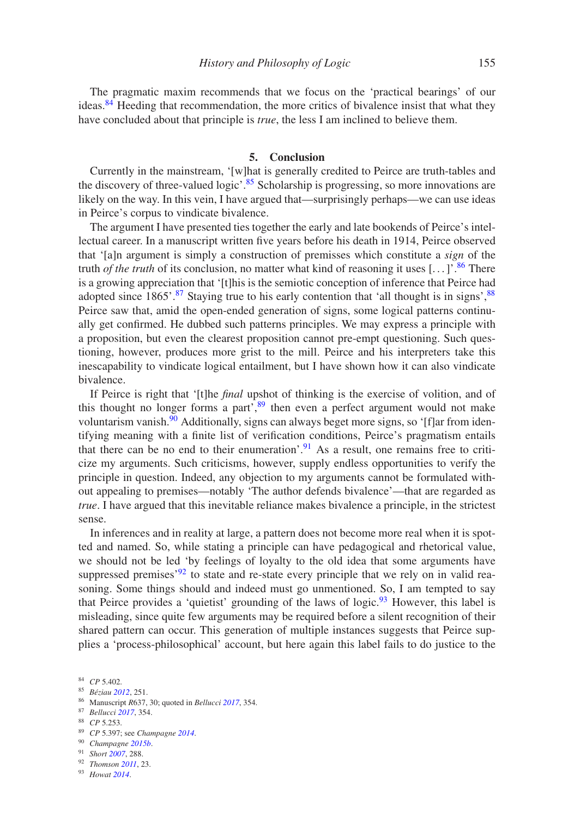The pragmatic maxim recommends that we focus on the 'practical bearings' of our ideas.<sup>84</sup> Heeding that recommendation, the more critics of bivalence insist that what they have concluded about that principle is *true*, the less I am inclined to believe them.

## **5. Conclusion**

Currently in the mainstream, '[w]hat is generally credited to Peirce are truth-tables and the discovery of three-valued logic'.<sup>85</sup> Scholarship is progressing, so more innovations are likely on the way. In this vein, I have argued that—surprisingly perhaps—we can use ideas in Peirce's corpus to vindicate bivalence.

The argument I have presented ties together the early and late bookends of Peirce's intellectual career. In a manuscript written five years before his death in 1914, Peirce observed that '[a]n argument is simply a construction of premisses which constitute a *sign* of the truth *of the truth* of its conclusion, no matter what kind of reasoning it uses  $[\dots]$ <sup>[86](#page-12-2)</sup>. There is a growing appreciation that '[t]his is the semiotic conception of inference that Peirce had adopted since  $1865'$ .<sup>87</sup> Staying true to his early contention that 'all thought is in signs',  $88$ Peirce saw that, amid the open-ended generation of signs, some logical patterns continually get confirmed. He dubbed such patterns principles. We may express a principle with a proposition, but even the clearest proposition cannot pre-empt questioning. Such questioning, however, produces more grist to the mill. Peirce and his interpreters take this inescapability to vindicate logical entailment, but I have shown how it can also vindicate bivalence.

If Peirce is right that '[t]he *final* upshot of thinking is the exercise of volition, and of this thought no longer forms a part<sup>', [89](#page-12-5)</sup> then even a perfect argument would not make voluntarism vanish.<sup>90</sup> Additionally, signs can always beget more signs, so '[f]ar from identifying meaning with a finite list of verification conditions, Peirce's pragmatism entails that there can be no end to their enumeration'.<sup>[91](#page-12-7)</sup> As a result, one remains free to criticize my arguments. Such criticisms, however, supply endless opportunities to verify the principle in question. Indeed, any objection to my arguments cannot be formulated without appealing to premises—notably 'The author defends bivalence'—that are regarded as *true*. I have argued that this inevitable reliance makes bivalence a principle, in the strictest sense.

In inferences and in reality at large, a pattern does not become more real when it is spotted and named. So, while stating a principle can have pedagogical and rhetorical value, we should not be led 'by feelings of loyalty to the old idea that some arguments have suppressed premises<sup> $92$ </sup> to state and re-state every principle that we rely on in valid reasoning. Some things should and indeed must go unmentioned. So, I am tempted to say that Peirce provides a 'quietist' grounding of the laws of logic.<sup>[93](#page-12-9)</sup> However, this label is misleading, since quite few arguments may be required before a silent recognition of their shared pattern can occur. This generation of multiple instances suggests that Peirce supplies a 'process-philosophical' account, but here again this label fails to do justice to the

<span id="page-12-1"></span><sup>86</sup> Manuscript *R*637, 30; quoted in *Bellucci [2017](#page-13-6)*, 354.

<span id="page-12-4"></span><sup>89</sup> *CP* 5.397; see *Champagne [2014](#page-13-28)*.

<span id="page-12-6"></span><sup>91</sup> *Short [2007](#page-14-35)*, 288.

<span id="page-12-9"></span><span id="page-12-8"></span><sup>93</sup> *Howat [2014](#page-14-34)*.

<sup>84</sup> *CP* 5.402.

<span id="page-12-0"></span><sup>85</sup> *Béziau [2012](#page-13-27)*, 251.

<span id="page-12-2"></span><sup>87</sup> *Bellucci [2017](#page-13-6)*, 354.

<span id="page-12-3"></span><sup>88</sup> *CP* 5.253.

<span id="page-12-5"></span><sup>90</sup> *Champagne [2015b](#page-13-29)*.

<span id="page-12-7"></span><sup>92</sup> *Thomson [2011](#page-14-17)*, 23.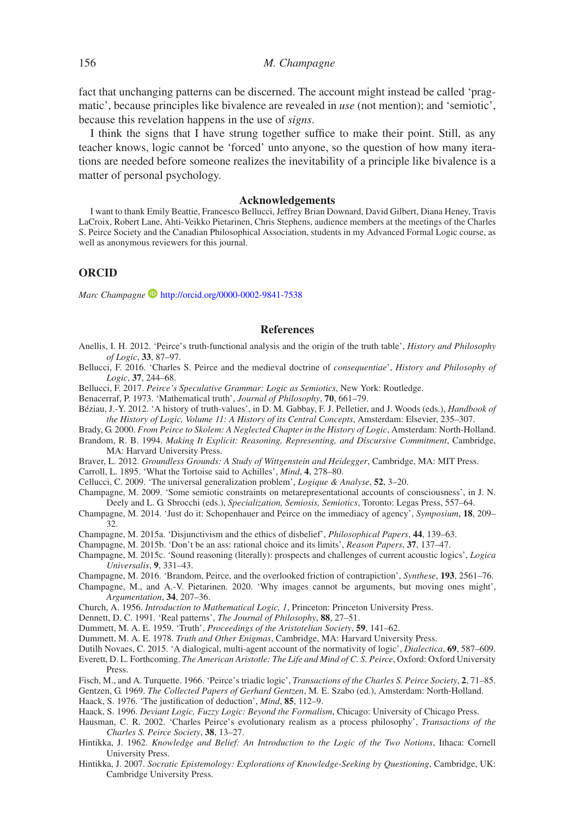fact that unchanging patterns can be discerned. The account might instead be called 'pragmatic', because principles like bivalence are revealed in *use* (not mention); and 'semiotic', because this revelation happens in the use of *signs*.

I think the signs that I have strung together suffice to make their point. Still, as any teacher knows, logic cannot be 'forced' unto anyone, so the question of how many iterations are needed before someone realizes the inevitability of a principle like bivalence is a matter of personal psychology.

#### **Acknowledgements**

I want to thank Emily Beattie, Francesco Bellucci, Jeffrey Brian Downard, David Gilbert, Diana Heney, Travis LaCroix, Robert Lane, Ahti-Veikko Pietarinen, Chris Stephens, audience members at the meetings of the Charles S. Peirce Society and the Canadian Philosophical Association, students in my Advanced Formal Logic course, as well as anonymous reviewers for this journal.

### **ORCID**

*Marc Champagne* <http://orcid.org/0000-0002-9841-7538>

#### **References**

- <span id="page-13-2"></span>Anellis, I. H. 2012. 'Peirce's truth-functional analysis and the origin of the truth table', *History and Philosophy of Logic*, **33**, 87–97.
- <span id="page-13-9"></span>Bellucci, F. 2016. 'Charles S. Peirce and the medieval doctrine of *consequentiae*', *History and Philosophy of Logic*, **37**, 244–68.
- Bellucci, F. 2017. *Peirce's Speculative Grammar: Logic as Semiotics*, New York: Routledge.
- <span id="page-13-6"></span>Benacerraf, P. 1973. 'Mathematical truth', *Journal of Philosophy*, **70**, 661–79.
- <span id="page-13-27"></span><span id="page-13-19"></span>Béziau, J.-Y. 2012. 'A history of truth-values', in D. M. Gabbay, F. J. Pelletier, and J. Woods (eds.), *Handbook of the History of Logic, Volume 11: A History of its Central Concepts*, Amsterdam: Elsevier, 235–307.
- Brady, G. 2000. *From Peirce to Skolem: A Neglected Chapter in the History of Logic*, Amsterdam: North-Holland.
- <span id="page-13-26"></span><span id="page-13-0"></span>Brandom, R. B. 1994. *Making It Explicit: Reasoning, Representing, and Discursive Commitment*, Cambridge, MA: Harvard University Press.
- Braver, L. 2012. *Groundless Grounds: A Study of Wittgenstein and Heidegger*, Cambridge, MA: MIT Press.
- <span id="page-13-15"></span>Carroll, L. 1895. 'What the Tortoise said to Achilles', *Mind*, **4**, 278–80.
- <span id="page-13-10"></span>Cellucci, C. 2009. 'The universal generalization problem', *Logique & Analyse*, **52**, 3–20.
- <span id="page-13-16"></span><span id="page-13-5"></span>Champagne, M. 2009. 'Some semiotic constraints on metarepresentational accounts of consciousness', in J. N. Deely and L. G. Sbrocchi (eds.), *Specialization, Semiosis, Semiotics*, Toronto: Legas Press, 557–64.
- <span id="page-13-28"></span>Champagne, M. 2014. 'Just do it: Schopenhauer and Peirce on the immediacy of agency', *Symposium*, **18**, 209– 32.
- Champagne, M. 2015a. 'Disjunctivism and the ethics of disbelief', *Philosophical Papers*, **44**, 139–63.
- <span id="page-13-25"></span>Champagne, M. 2015b. 'Don't be an ass: rational choice and its limits', *Reason Papers*, **37**, 137–47.
- <span id="page-13-29"></span><span id="page-13-14"></span>Champagne, M. 2015c. 'Sound reasoning (literally): prospects and challenges of current acoustic logics', *Logica Universalis*, **9**, 331–43.
- Champagne, M. 2016. 'Brandom, Peirce, and the overlooked friction of contrapiction', *Synthese*, **193**, 2561–76. Champagne, M., and A.-V. Pietarinen. 2020. 'Why images cannot be arguments, but moving ones might',
- <span id="page-13-12"></span><span id="page-13-8"></span>*Argumentation*, **34**, 207–36.
- Church, A. 1956. *Introduction to Mathematical Logic, 1*, Princeton: Princeton University Press.
- <span id="page-13-1"></span>Dennett, D. C. 1991. 'Real patterns', *The Journal of Philosophy*, **88**, 27–51.
- <span id="page-13-18"></span>Dummett, M. A. E. 1959. 'Truth', *Proceedings of the Aristotelian Society*, **59**, 141–62.
- <span id="page-13-21"></span>Dummett, M. A. E. 1978. *Truth and Other Enigmas*, Cambridge, MA: Harvard University Press.
- <span id="page-13-23"></span>Dutilh Novaes, C. 2015. 'A dialogical, multi-agent account of the normativity of logic', *Dialectica*, **69**, 587–609.
- <span id="page-13-22"></span><span id="page-13-11"></span>Everett, D. L. Forthcoming. *The American Aristotle: The Life and Mind of C. S. Peirce*, Oxford: Oxford University **Press**
- Fisch, M., and A. Turquette. 1966. 'Peirce's triadic logic', *Transactions of the Charles S. Peirce Society*, **2**, 71–85.
- <span id="page-13-17"></span><span id="page-13-3"></span>Gentzen, G. 1969. *The Collected Papers of Gerhard Gentzen*, M. E. Szabo (ed.), Amsterdam: North-Holland. Haack, S. 1976. 'The justification of deduction', *Mind*, **85**, 112–9.
- <span id="page-13-24"></span>Haack, S. 1996. *Deviant Logic, Fuzzy Logic: Beyond the Formalism*, Chicago: University of Chicago Press.
- <span id="page-13-7"></span><span id="page-13-4"></span>Hausman, C. R. 2002. 'Charles Peirce's evolutionary realism as a process philosophy', *Transactions of the Charles S. Peirce Society*, **38**, 13–27.
- Hintikka, J. 1962. *Knowledge and Belief: An Introduction to the Logic of the Two Notions*, Ithaca: Cornell University Press.
- <span id="page-13-20"></span><span id="page-13-13"></span>Hintikka, J. 2007. *Socratic Epistemology: Explorations of Knowledge-Seeking by Questioning*, Cambridge, UK: Cambridge University Press.